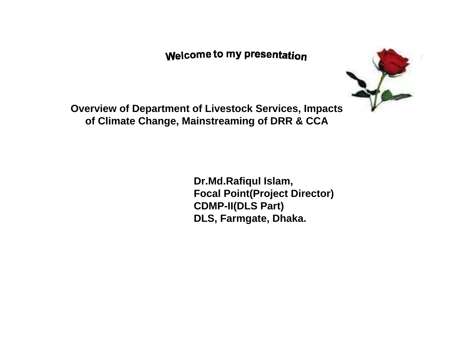### **Welcome to my presentation**



**Overview of Department of Livestock Services, Impacts of Climate Change, Mainstreaming of DRR & CCA**

> **Dr.Md.Rafiqul Islam, Focal Point(Project Director) CDMP-II(DLS Part) DLS, Farmgate, Dhaka.**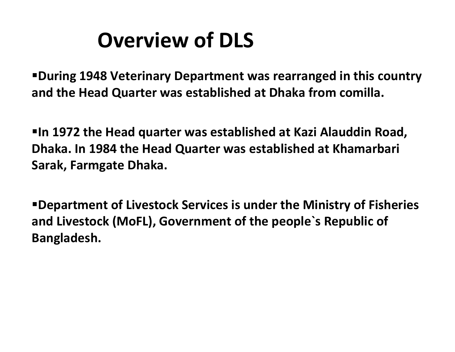# **Overview of DLS**

**During 1948 Veterinary Department was rearranged in this country and the Head Quarter was established at Dhaka from comilla.**

**In 1972 the Head quarter was established at Kazi Alauddin Road, Dhaka. In 1984 the Head Quarter was established at Khamarbari Sarak, Farmgate Dhaka.**

**Department of Livestock Services is under the Ministry of Fisheries and Livestock (MoFL), Government of the people`s Republic of Bangladesh.**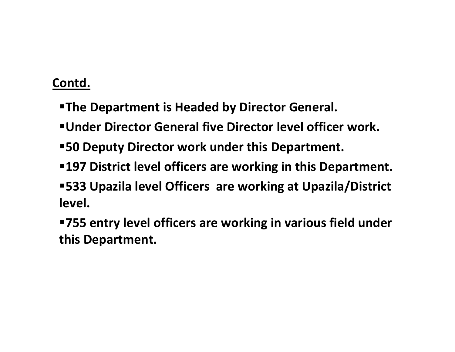- **The Department is Headed by Director General.**
- **Under Director General five Director level officer work.**
- **50 Deputy Director work under this Department.**
- **197 District level officers are working in this Department.**
- **533 Upazila level Officers are working at Upazila/District level.**
- **755 entry level officers are working in various field under this Department.**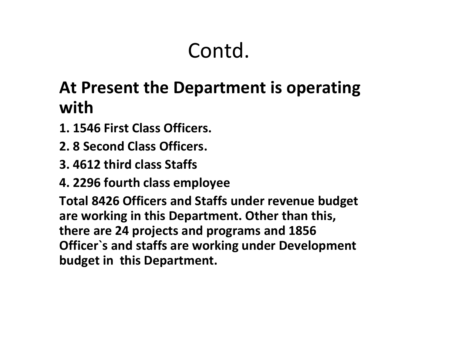# **At Present the Department is operating with**

- **1. 1546 First Class Officers.**
- **2. 8 Second Class Officers.**
- **3. 4612 third class Staffs**
- **4. 2296 fourth class employee**

**Total 8426 Officers and Staffs under revenue budget are working in this Department. Other than this, there are 24 projects and programs and 1856 Officer`s and staffs are working under Development budget in this Department.**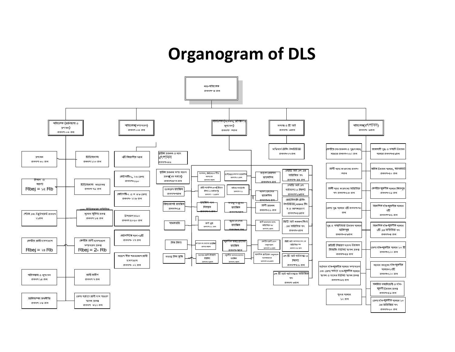# **Organogram of DLS**

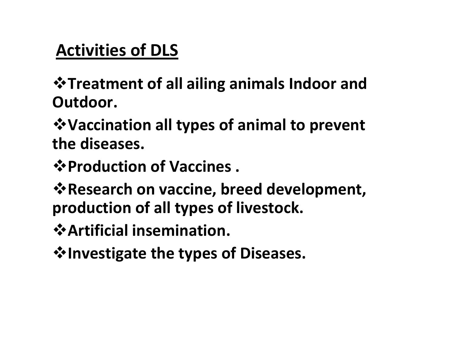**Treatment of all ailing animals Indoor and Outdoor.**

**Vaccination all types of animal to prevent the diseases.**

**Production of Vaccines .**

**Research on vaccine, breed development, production of all types of livestock.**

**Artificial insemination.**

**Investigate the types of Diseases.**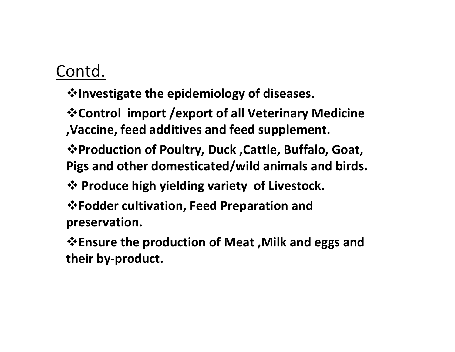**Investigate the epidemiology of diseases.**

**Control import /export of all Veterinary Medicine ,Vaccine, feed additives and feed supplement.**

**Production of Poultry, Duck ,Cattle, Buffalo, Goat, Pigs and other domesticated/wild animals and birds.**

**Produce high yielding variety of Livestock.**

**Fodder cultivation, Feed Preparation and preservation.**

**Ensure the production of Meat ,Milk and eggs and their by‐product.**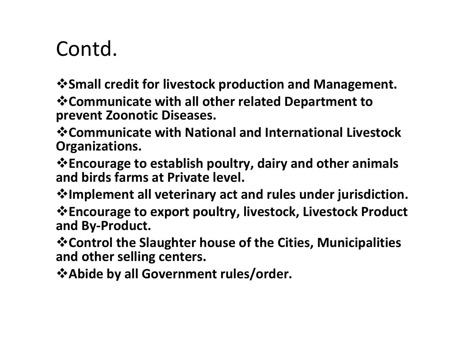**Small credit for livestock production and Management.**

**Communicate with all other related Department to prevent Zoonotic Diseases.**

**Communicate with National and International Livestock Organizations.**

**Encourage to establish poultry, dairy and other animals and birds farms at Private level.**

**Implement all veterinary act and rules under jurisdiction.**

**Encourage to export poultry, livestock, Livestock Product and By‐Product.**

**Control the Slaughter house of the Cities, Municipalities and other selling centers.**

**Abide by all Government rules/order.**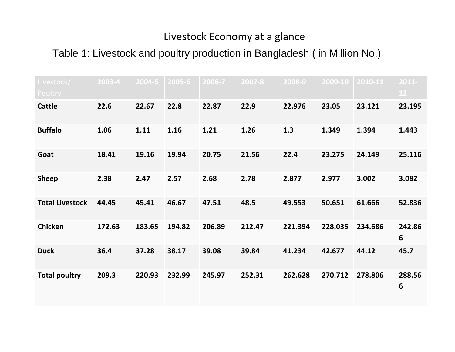### Livestock Economy at <sup>a</sup> glance

Table 1: Livestock and poultry production in Bangladesh ( in Million No.)

| Livestock/<br>Poultry  | 2003-4 | 2004-5 | 2005-6 | 2006-7 | 2007-8 | 2008-9  | 2009-10 | 2010-11 | $2011 -$<br>$12$ |
|------------------------|--------|--------|--------|--------|--------|---------|---------|---------|------------------|
| <b>Cattle</b>          | 22.6   | 22.67  | 22.8   | 22.87  | 22.9   | 22.976  | 23.05   | 23.121  | 23.195           |
| <b>Buffalo</b>         | 1.06   | 1.11   | 1.16   | 1.21   | 1.26   | 1.3     | 1.349   | 1.394   | 1.443            |
| Goat                   | 18.41  | 19.16  | 19.94  | 20.75  | 21.56  | 22.4    | 23.275  | 24.149  | 25.116           |
| <b>Sheep</b>           | 2.38   | 2.47   | 2.57   | 2.68   | 2.78   | 2.877   | 2.977   | 3.002   | 3.082            |
| <b>Total Livestock</b> | 44.45  | 45.41  | 46.67  | 47.51  | 48.5   | 49.553  | 50.651  | 61.666  | 52.836           |
| <b>Chicken</b>         | 172.63 | 183.65 | 194.82 | 206.89 | 212.47 | 221.394 | 228.035 | 234.686 | 242.86<br>6      |
| <b>Duck</b>            | 36.4   | 37.28  | 38.17  | 39.08  | 39.84  | 41.234  | 42.677  | 44.12   | 45.7             |
| <b>Total poultry</b>   | 209.3  | 220.93 | 232.99 | 245.97 | 252.31 | 262.628 | 270.712 | 278.806 | 288.56<br>6      |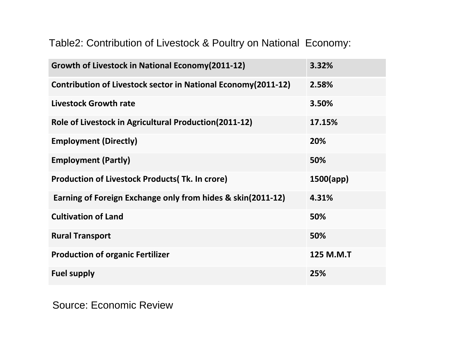Table2: Contribution of Livestock & Poultry on National Economy:

| Growth of Livestock in National Economy (2011-12)              | 3.32%     |
|----------------------------------------------------------------|-----------|
| Contribution of Livestock sector in National Economy (2011-12) | 2.58%     |
| <b>Livestock Growth rate</b>                                   | 3.50%     |
| Role of Livestock in Agricultural Production(2011-12)          | 17.15%    |
| <b>Employment (Directly)</b>                                   | 20%       |
| <b>Employment (Partly)</b>                                     | 50%       |
| <b>Production of Livestock Products (Tk. In crore)</b>         | 1500(app) |
| Earning of Foreign Exchange only from hides & skin(2011-12)    | 4.31%     |
| <b>Cultivation of Land</b>                                     | 50%       |
| <b>Rural Transport</b>                                         | 50%       |
| <b>Production of organic Fertilizer</b>                        | 125 M.M.T |
| <b>Fuel supply</b>                                             | 25%       |

Source: Economic Review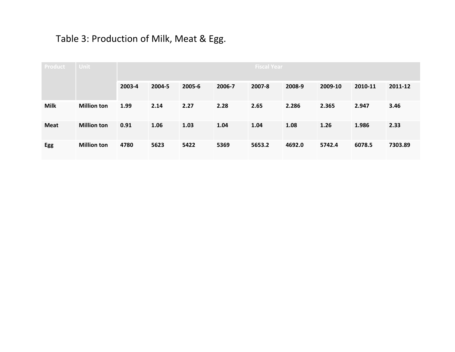### Table 3: Production of Milk, Meat & Egg.

| <b>Product</b> | <b>Unit</b>        |        |        |        |        | <b>Fiscal Year</b> |        |         |         |         |
|----------------|--------------------|--------|--------|--------|--------|--------------------|--------|---------|---------|---------|
|                |                    | 2003-4 | 2004-5 | 2005-6 | 2006-7 | 2007-8             | 2008-9 | 2009-10 | 2010-11 | 2011-12 |
| <b>Milk</b>    | <b>Million ton</b> | 1.99   | 2.14   | 2.27   | 2.28   | 2.65               | 2.286  | 2.365   | 2.947   | 3.46    |
| <b>Meat</b>    | <b>Million ton</b> | 0.91   | 1.06   | 1.03   | 1.04   | 1.04               | 1.08   | 1.26    | 1.986   | 2.33    |
| Egg            | <b>Million ton</b> | 4780   | 5623   | 5422   | 5369   | 5653.2             | 4692.0 | 5742.4  | 6078.5  | 7303.89 |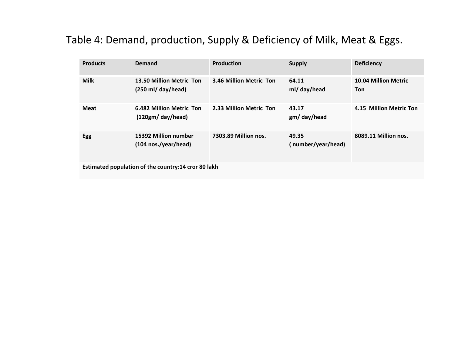### Table 4: Demand, production, Supply & Deficiency of Milk, Meat & Eggs.

| <b>Products</b>                                     | Demand                                                          | <b>Production</b>       | <b>Supply</b>               | <b>Deficiency</b>                         |  |
|-----------------------------------------------------|-----------------------------------------------------------------|-------------------------|-----------------------------|-------------------------------------------|--|
| <b>Milk</b>                                         | 13.50 Million Metric Ton<br>$(250 \text{ ml}/ \text{day/head})$ | 3.46 Million Metric Ton | 64.11<br>ml/ day/head       | <b>10.04 Million Metric</b><br><b>Ton</b> |  |
| <b>Meat</b>                                         | 6.482 Million Metric Ton<br>(120gm/day/head)                    | 2.33 Million Metric Ton | 43.17<br>gm/day/head        | 4.15 Million Metric Ton                   |  |
| <b>Egg</b>                                          | 15392 Million number<br>$(104 \text{ nos./year/head})$          | 7303.89 Million nos.    | 49.35<br>(number/year/head) | 8089.11 Million nos.                      |  |
| Estimated population of the country:14 cror 80 lakh |                                                                 |                         |                             |                                           |  |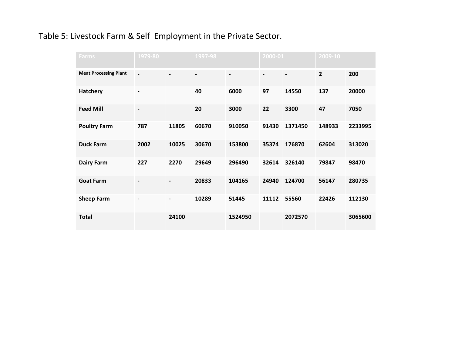#### Table 5: Livestock Farm & Self Employment in the Private Sector.

| <b>Farms</b>                 | 1979-80                  |                          | 1997-98        |                          | 2000-01        |                              | 2009-10        |         |
|------------------------------|--------------------------|--------------------------|----------------|--------------------------|----------------|------------------------------|----------------|---------|
| <b>Meat Processing Plant</b> | $\overline{\phantom{a}}$ | $\blacksquare$           | $\blacksquare$ | $\overline{\phantom{a}}$ | $\blacksquare$ | $\qquad \qquad \blacksquare$ | $\overline{2}$ | 200     |
| <b>Hatchery</b>              | $\blacksquare$           |                          | 40             | 6000                     | 97             | 14550                        | 137            | 20000   |
| <b>Feed Mill</b>             |                          |                          | 20             | 3000                     | 22             | 3300                         | 47             | 7050    |
| <b>Poultry Farm</b>          | 787                      | 11805                    | 60670          | 910050                   | 91430          | 1371450                      | 148933         | 2233995 |
| <b>Duck Farm</b>             | 2002                     | 10025                    | 30670          | 153800                   | 35374          | 176870                       | 62604          | 313020  |
| <b>Dairy Farm</b>            | 227                      | 2270                     | 29649          | 296490                   | 32614          | 326140                       | 79847          | 98470   |
| <b>Goat Farm</b>             |                          |                          | 20833          | 104165                   | 24940          | 124700                       | 56147          | 280735  |
| <b>Sheep Farm</b>            | $\overline{\phantom{a}}$ | $\overline{\phantom{a}}$ | 10289          | 51445                    | 11112          | 55560                        | 22426          | 112130  |
| <b>Total</b>                 |                          | 24100                    |                | 1524950                  |                | 2072570                      |                | 3065600 |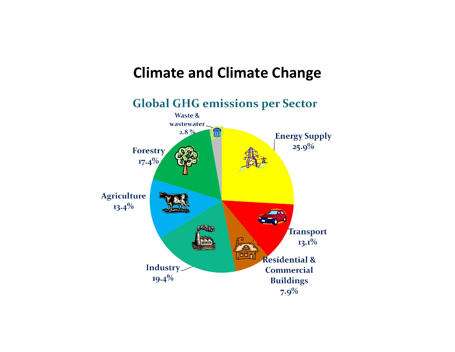## **Climate and Climate Change**

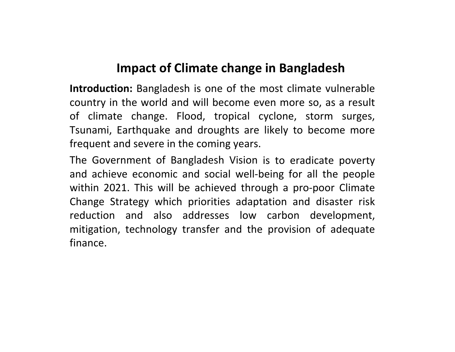## **Impact of Climate change in Bangladesh**

**Introduction:** Bangladesh is one of the most climate vulnerable country in the world and will become even more so, as <sup>a</sup> result of climate change. Flood, tropical cyclone, storm surges, Tsunami, Earthquake and droughts are likely to become more frequent and severe in the coming years.

The Government of Bangladesh Vision is to eradicate poverty and achieve economic and social well‐being for all the people within 2021. This will be achieved through <sup>a</sup> pro‐poor Climate Change Strategy which priorities adaptation and disaster risk reduction and also addresses low carbon development, mitigation, technology transfer and the provision of adequate finance.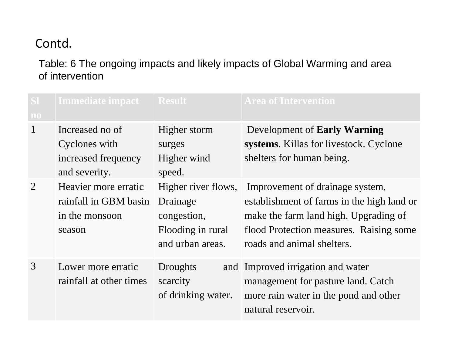### Table: 6 The ongoing impacts and likely impacts of Global Warming and area of intervention

| SI<br>$\mathbf{n}\mathbf{o}$ | <b>Immediate impact</b>                                                   | <b>Result</b>                                                                           | <b>Area of Intervention</b>                                                                                                                                                                     |
|------------------------------|---------------------------------------------------------------------------|-----------------------------------------------------------------------------------------|-------------------------------------------------------------------------------------------------------------------------------------------------------------------------------------------------|
| $\mathbf{1}$                 | Increased no of<br>Cyclones with<br>increased frequency<br>and severity.  | Higher storm<br>surges<br>Higher wind<br>speed.                                         | Development of Early Warning<br>systems. Killas for livestock. Cyclone<br>shelters for human being.                                                                                             |
| 2                            | Heavier more erratic<br>rainfall in GBM basin<br>in the monsoon<br>season | Higher river flows,<br>Drainage<br>congestion,<br>Flooding in rural<br>and urban areas. | Improvement of drainage system,<br>establishment of farms in the high land or<br>make the farm land high. Upgrading of<br>flood Protection measures. Raising some<br>roads and animal shelters. |
| 3                            | Lower more erratic<br>rainfall at other times                             | Droughts<br>scarcity<br>of drinking water.                                              | and Improved irrigation and water<br>management for pasture land. Catch<br>more rain water in the pond and other<br>natural reservoir.                                                          |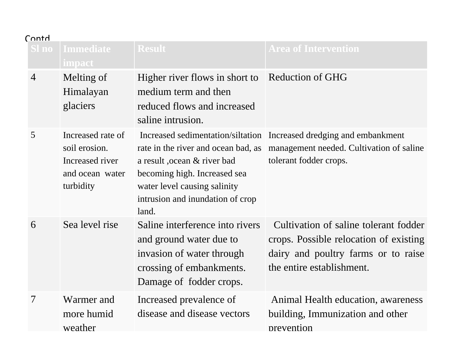| Luury)         |                                                                                       |                                                                                                                                                |                                                                                                                                                                               |
|----------------|---------------------------------------------------------------------------------------|------------------------------------------------------------------------------------------------------------------------------------------------|-------------------------------------------------------------------------------------------------------------------------------------------------------------------------------|
| Sl no          | <b>Immediate</b><br><b>impact</b>                                                     | <b>Result</b>                                                                                                                                  | <b>Area of Intervention</b>                                                                                                                                                   |
| $\overline{4}$ | Melting of<br>Himalayan<br>glaciers                                                   | Higher river flows in short to<br>medium term and then<br>reduced flows and increased<br>saline intrusion.                                     | <b>Reduction of GHG</b>                                                                                                                                                       |
| 5              | Increased rate of<br>soil erosion.<br>Increased river<br>and ocean water<br>turbidity | a result, ocean & river bad<br>becoming high. Increased sea<br>water level causing salinity<br>intrusion and inundation of crop<br>land.       | Increased sedimentation/siltation Increased dredging and embankment<br>rate in the river and ocean bad, as management needed. Cultivation of saline<br>tolerant fodder crops. |
| 6              | Sea level rise                                                                        | Saline interference into rivers<br>and ground water due to<br>invasion of water through<br>crossing of embankments.<br>Damage of fodder crops. | Cultivation of saline tolerant fodder<br>crops. Possible relocation of existing<br>dairy and poultry farms or to raise<br>the entire establishment.                           |
| 7              | Warmer and<br>more humid<br>weather                                                   | Increased prevalence of<br>disease and disease vectors                                                                                         | Animal Health education, awareness<br>building, Immunization and other<br>prevention                                                                                          |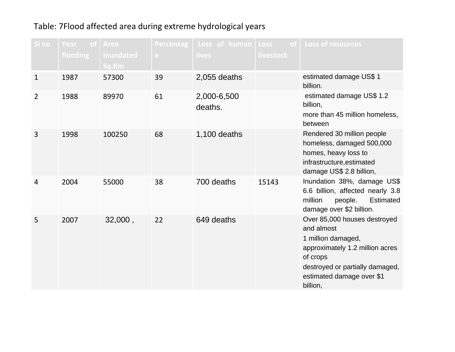#### Table: 7Flood affected area during extreme hydrological years

| SI no          | Year<br>⊟of i<br>flooding | Area<br><b>Inundated</b><br>Sq.Km | <b>Percentag</b><br>e. | Loss of human<br>lives | Loss<br>of.<br><b>livestock</b> | Loss of resources                                                                                                                                                                           |
|----------------|---------------------------|-----------------------------------|------------------------|------------------------|---------------------------------|---------------------------------------------------------------------------------------------------------------------------------------------------------------------------------------------|
| $\mathbf{1}$   | 1987                      | 57300                             | 39                     | $2,055$ deaths         |                                 | estimated damage US\$ 1<br>billion.                                                                                                                                                         |
| $\overline{2}$ | 1988                      | 89970                             | 61                     | 2,000-6,500<br>deaths. |                                 | estimated damage US\$ 1.2<br>billion,<br>more than 45 million homeless,<br>between                                                                                                          |
| 3              | 1998                      | 100250                            | 68                     | 1,100 deaths           |                                 | Rendered 30 million people<br>homeless, damaged 500,000<br>homes, heavy loss to<br>infrastructure, estimated<br>damage US\$ 2.8 billion,                                                    |
| 4              | 2004                      | 55000                             | 38                     | 700 deaths             | 15143                           | Inundation 38%, damage US\$<br>6.6 billion, affected nearly 3.8<br>million<br>people.<br><b>Estimated</b><br>damage over \$2 billion.                                                       |
| 5              | 2007                      | 32,000,                           | 22                     | 649 deaths             |                                 | Over 85,000 houses destroyed<br>and almost<br>1 million damaged,<br>approximately 1.2 million acres<br>of crops<br>destroyed or partially damaged,<br>estimated damage over \$1<br>billion, |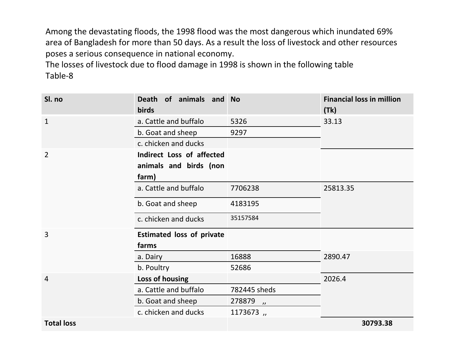Among the devastating floods, the 1998 flood was the most dangerous which inundated 69% area of Bangladesh for more than 50 days. As <sup>a</sup> result the loss of livestock and other resources poses <sup>a</sup> serious consequence in national economy.

The losses of livestock due to flood damage in 1998 is shown in the following table Table‐8

| Sl. no         | Death of animals and No<br><b>birds</b> |                                       | <b>Financial loss in million</b><br>(Tk) |
|----------------|-----------------------------------------|---------------------------------------|------------------------------------------|
| $\mathbf{1}$   | a. Cattle and buffalo                   | 5326                                  | 33.13                                    |
|                | b. Goat and sheep                       | 9297                                  |                                          |
|                | c. chicken and ducks                    |                                       |                                          |
| $\overline{2}$ | Indirect Loss of affected               |                                       |                                          |
|                | animals and birds (non                  |                                       |                                          |
|                | farm)                                   |                                       |                                          |
|                | a. Cattle and buffalo                   | 7706238                               | 25813.35                                 |
|                | b. Goat and sheep                       | 4183195                               |                                          |
|                | c. chicken and ducks                    | 35157584                              |                                          |
| $\overline{3}$ | <b>Estimated loss of private</b>        |                                       |                                          |
|                | farms                                   |                                       |                                          |
|                | a. Dairy                                | 16888                                 | 2890.47                                  |
|                | b. Poultry                              | 52686                                 |                                          |
| $\overline{4}$ | Loss of housing                         |                                       | 2026.4                                   |
|                | a. Cattle and buffalo                   | 782445 sheds                          |                                          |
|                | b. Goat and sheep                       | 278879<br>$\overline{\boldsymbol{v}}$ |                                          |
|                | c. chicken and ducks                    | 1173673,                              |                                          |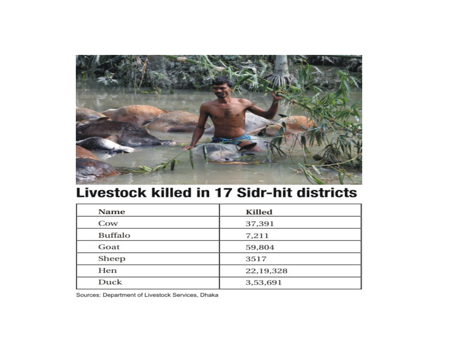

## **Livestock killed in 17 Sidr-hit districts**

| Name           | Killed    |
|----------------|-----------|
| Cow            | 37,391    |
| <b>Buffalo</b> | 7,211     |
| Goat           | 59,804    |
| Sheep          | 3517      |
| Hen            | 22,19,328 |
| Duck           | 3,53,691  |

Sources: Department of Livestock Services, Dhaka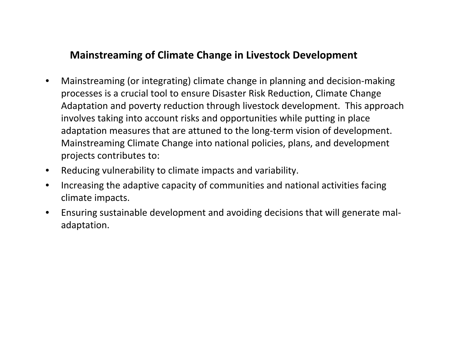### **Mainstreaming of Climate Change in Livestock Development**

- • Mainstreaming (or integrating) climate change in planning and decision‐making processes is <sup>a</sup> crucial tool to ensure Disaster Risk Reduction, Climate Change Adaptation and poverty reduction through livestock development. This approach involves taking into account risks and opportunities while putting in place adaptation measures that are attuned to the long‐term vision of development. Mainstreaming Climate Change into national policies, plans, and development projects contributes to:
- •Reducing vulnerability to climate impacts and variability.
- $\bullet$  Increasing the adaptive capacity of communities and national activities facing climate impacts.
- • Ensuring sustainable development and avoiding decisions that will generate mal‐ adaptation.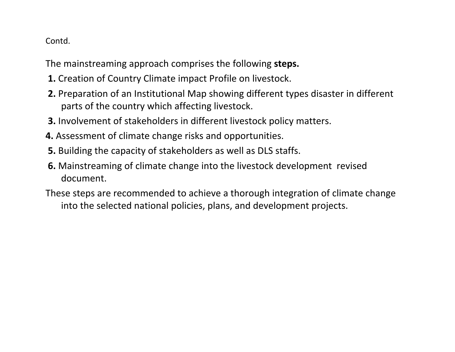The mainstreaming approach comprises the following **steps.**

- **1.** Creation of Country Climate impact Profile on livestock.
- **2.** Preparation of an Institutional Map showing different types disaster in different parts of the country which affecting livestock.
- **3.** Involvement of stakeholders in different livestock policy matters.
- **4.** Assessment of climate change risks and opportunities.
- **5.** Building the capacity of stakeholders as well as DLS staffs.
- **6.** Mainstreaming of climate change into the livestock development revised document.
- These steps are recommended to achieve <sup>a</sup> thorough integration of climate change into the selected national policies, plans, and development projects.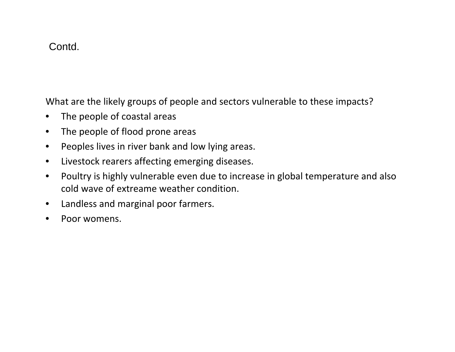What are the likely groups of people and sectors vulnerable to these impacts?

- •• The people of coastal areas
- •• The people of flood prone areas
- •Peoples lives in river bank and low lying areas.
- •Livestock rearers affecting emerging diseases.
- • Poultry is highly vulnerable even due to increase in global temperature and also cold wave of extreame weather condition.
- •Landless and marginal poor farmers.
- •Poor womens.